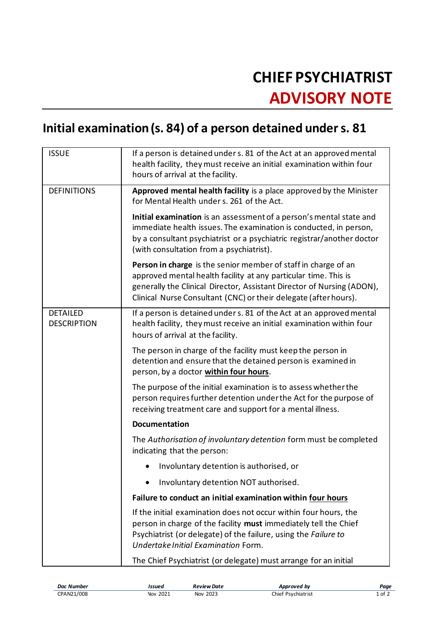## **CHIEF PSYCHIATRIST ADVISORY NOTE**

## **Initial examination (s. 84) of a person detained under s. 81**

| <b>ISSUE</b>                          | If a person is detained under s. 81 of the Act at an approved mental<br>health facility, they must receive an initial examination within four<br>hours of arrival at the facility.                                                                                              |
|---------------------------------------|---------------------------------------------------------------------------------------------------------------------------------------------------------------------------------------------------------------------------------------------------------------------------------|
| <b>DEFINITIONS</b>                    | Approved mental health facility is a place approved by the Minister<br>for Mental Health under s. 261 of the Act.                                                                                                                                                               |
|                                       | Initial examination is an assessment of a person's mental state and<br>immediate health issues. The examination is conducted, in person,<br>by a consultant psychiatrist or a psychiatric registrar/another doctor<br>(with consultation from a psychiatrist).                  |
|                                       | Person in charge is the senior member of staff in charge of an<br>approved mental health facility at any particular time. This is<br>generally the Clinical Director, Assistant Director of Nursing (ADON),<br>Clinical Nurse Consultant (CNC) or their delegate (after hours). |
| <b>DETAILED</b><br><b>DESCRIPTION</b> | If a person is detained under s. 81 of the Act at an approved mental<br>health facility, they must receive an initial examination within four<br>hours of arrival at the facility.                                                                                              |
|                                       | The person in charge of the facility must keep the person in<br>detention and ensure that the detained person is examined in<br>person, by a doctor within four hours.                                                                                                          |
|                                       | The purpose of the initial examination is to assess whether the<br>person requires further detention under the Act for the purpose of<br>receiving treatment care and support for a mental illness.                                                                             |
|                                       | <b>Documentation</b>                                                                                                                                                                                                                                                            |
|                                       | The Authorisation of involuntary detention form must be completed<br>indicating that the person:                                                                                                                                                                                |
|                                       | Involuntary detention is authorised, or                                                                                                                                                                                                                                         |
|                                       | Involuntary detention NOT authorised.                                                                                                                                                                                                                                           |
|                                       | Failure to conduct an initial examination within four hours                                                                                                                                                                                                                     |
|                                       | If the initial examination does not occur within four hours, the<br>person in charge of the facility must immediately tell the Chief<br>Psychiatrist (or delegate) of the failure, using the Failure to<br>Undertake Initial Examination Form.                                  |
|                                       | The Chief Psychiatrist (or delegate) must arrange for an initial                                                                                                                                                                                                                |